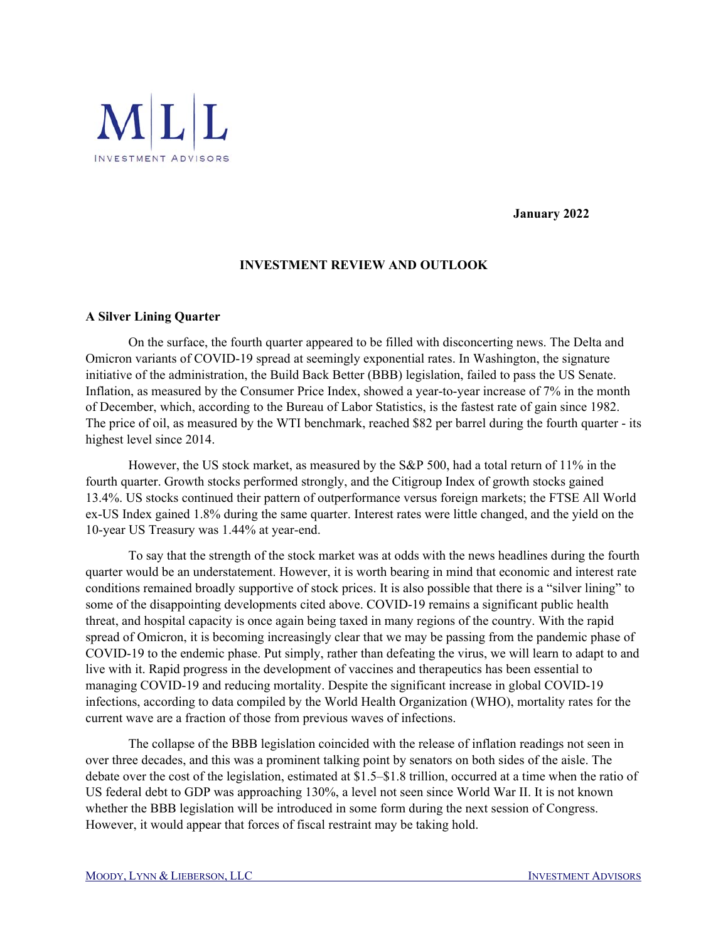

**January 2022** 

## **INVESTMENT REVIEW AND OUTLOOK**

## **A Silver Lining Quarter**

 On the surface, the fourth quarter appeared to be filled with disconcerting news. The Delta and Omicron variants of COVID-19 spread at seemingly exponential rates. In Washington, the signature initiative of the administration, the Build Back Better (BBB) legislation, failed to pass the US Senate. Inflation, as measured by the Consumer Price Index, showed a year-to-year increase of 7% in the month of December, which, according to the Bureau of Labor Statistics, is the fastest rate of gain since 1982. The price of oil, as measured by the WTI benchmark, reached \$82 per barrel during the fourth quarter - its highest level since 2014.

However, the US stock market, as measured by the S&P 500, had a total return of 11% in the fourth quarter. Growth stocks performed strongly, and the Citigroup Index of growth stocks gained 13.4%. US stocks continued their pattern of outperformance versus foreign markets; the FTSE All World ex-US Index gained 1.8% during the same quarter. Interest rates were little changed, and the yield on the 10-year US Treasury was 1.44% at year-end.

To say that the strength of the stock market was at odds with the news headlines during the fourth quarter would be an understatement. However, it is worth bearing in mind that economic and interest rate conditions remained broadly supportive of stock prices. It is also possible that there is a "silver lining" to some of the disappointing developments cited above. COVID-19 remains a significant public health threat, and hospital capacity is once again being taxed in many regions of the country. With the rapid spread of Omicron, it is becoming increasingly clear that we may be passing from the pandemic phase of COVID-19 to the endemic phase. Put simply, rather than defeating the virus, we will learn to adapt to and live with it. Rapid progress in the development of vaccines and therapeutics has been essential to managing COVID-19 and reducing mortality. Despite the significant increase in global COVID-19 infections, according to data compiled by the World Health Organization (WHO), mortality rates for the current wave are a fraction of those from previous waves of infections.

The collapse of the BBB legislation coincided with the release of inflation readings not seen in over three decades, and this was a prominent talking point by senators on both sides of the aisle. The debate over the cost of the legislation, estimated at \$1.5–\$1.8 trillion, occurred at a time when the ratio of US federal debt to GDP was approaching 130%, a level not seen since World War II. It is not known whether the BBB legislation will be introduced in some form during the next session of Congress. However, it would appear that forces of fiscal restraint may be taking hold.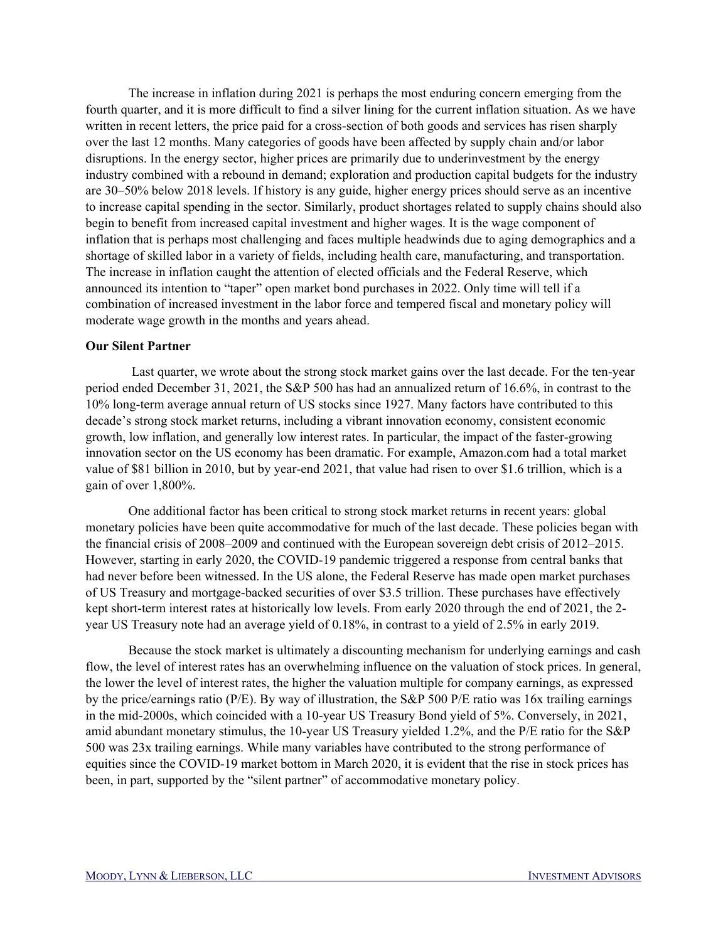The increase in inflation during 2021 is perhaps the most enduring concern emerging from the fourth quarter, and it is more difficult to find a silver lining for the current inflation situation. As we have written in recent letters, the price paid for a cross-section of both goods and services has risen sharply over the last 12 months. Many categories of goods have been affected by supply chain and/or labor disruptions. In the energy sector, higher prices are primarily due to underinvestment by the energy industry combined with a rebound in demand; exploration and production capital budgets for the industry are 30–50% below 2018 levels. If history is any guide, higher energy prices should serve as an incentive to increase capital spending in the sector. Similarly, product shortages related to supply chains should also begin to benefit from increased capital investment and higher wages. It is the wage component of inflation that is perhaps most challenging and faces multiple headwinds due to aging demographics and a shortage of skilled labor in a variety of fields, including health care, manufacturing, and transportation. The increase in inflation caught the attention of elected officials and the Federal Reserve, which announced its intention to "taper" open market bond purchases in 2022. Only time will tell if a combination of increased investment in the labor force and tempered fiscal and monetary policy will moderate wage growth in the months and years ahead.

## **Our Silent Partner**

 Last quarter, we wrote about the strong stock market gains over the last decade. For the ten-year period ended December 31, 2021, the S&P 500 has had an annualized return of 16.6%, in contrast to the 10% long-term average annual return of US stocks since 1927. Many factors have contributed to this decade's strong stock market returns, including a vibrant innovation economy, consistent economic growth, low inflation, and generally low interest rates. In particular, the impact of the faster-growing innovation sector on the US economy has been dramatic. For example, Amazon.com had a total market value of \$81 billion in 2010, but by year-end 2021, that value had risen to over \$1.6 trillion, which is a gain of over 1,800%.

 One additional factor has been critical to strong stock market returns in recent years: global monetary policies have been quite accommodative for much of the last decade. These policies began with the financial crisis of 2008–2009 and continued with the European sovereign debt crisis of 2012–2015. However, starting in early 2020, the COVID-19 pandemic triggered a response from central banks that had never before been witnessed. In the US alone, the Federal Reserve has made open market purchases of US Treasury and mortgage-backed securities of over \$3.5 trillion. These purchases have effectively kept short-term interest rates at historically low levels. From early 2020 through the end of 2021, the 2 year US Treasury note had an average yield of 0.18%, in contrast to a yield of 2.5% in early 2019.

Because the stock market is ultimately a discounting mechanism for underlying earnings and cash flow, the level of interest rates has an overwhelming influence on the valuation of stock prices. In general, the lower the level of interest rates, the higher the valuation multiple for company earnings, as expressed by the price/earnings ratio (P/E). By way of illustration, the S&P 500 P/E ratio was 16x trailing earnings in the mid-2000s, which coincided with a 10-year US Treasury Bond yield of 5%. Conversely, in 2021, amid abundant monetary stimulus, the 10-year US Treasury yielded 1.2%, and the P/E ratio for the S&P 500 was 23x trailing earnings. While many variables have contributed to the strong performance of equities since the COVID-19 market bottom in March 2020, it is evident that the rise in stock prices has been, in part, supported by the "silent partner" of accommodative monetary policy.